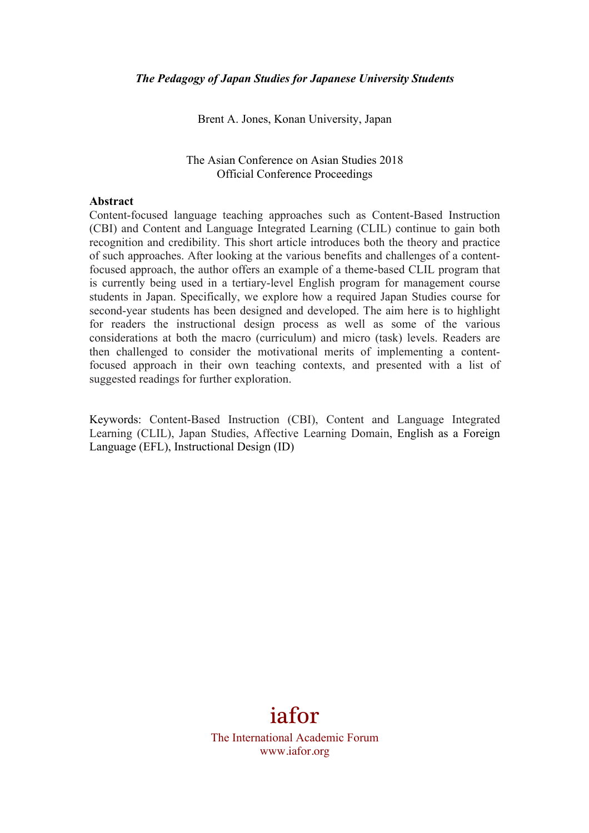Brent A. Jones, Konan University, Japan

#### The Asian Conference on Asian Studies 2018 Official Conference Proceedings

#### **Abstract**

Content-focused language teaching approaches such as Content-Based Instruction (CBI) and Content and Language Integrated Learning (CLIL) continue to gain both recognition and credibility. This short article introduces both the theory and practice of such approaches. After looking at the various benefits and challenges of a contentfocused approach, the author offers an example of a theme-based CLIL program that is currently being used in a tertiary-level English program for management course students in Japan. Specifically, we explore how a required Japan Studies course for second-year students has been designed and developed. The aim here is to highlight for readers the instructional design process as well as some of the various considerations at both the macro (curriculum) and micro (task) levels. Readers are then challenged to consider the motivational merits of implementing a contentfocused approach in their own teaching contexts, and presented with a list of suggested readings for further exploration.

Keywords: Content-Based Instruction (CBI), Content and Language Integrated Learning (CLIL), Japan Studies, Affective Learning Domain, English as a Foreign Language (EFL), Instructional Design (ID)

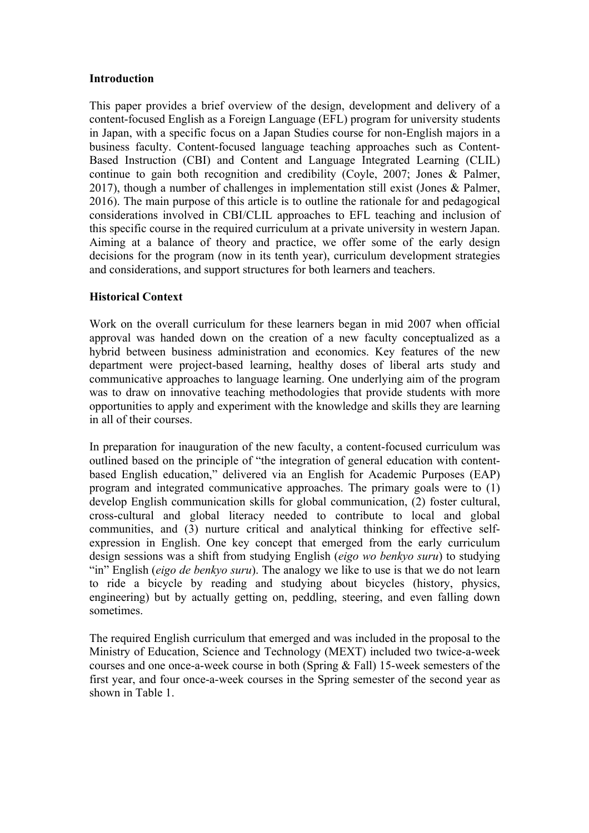## **Introduction**

This paper provides a brief overview of the design, development and delivery of a content-focused English as a Foreign Language (EFL) program for university students in Japan, with a specific focus on a Japan Studies course for non-English majors in a business faculty. Content-focused language teaching approaches such as Content-Based Instruction (CBI) and Content and Language Integrated Learning (CLIL) continue to gain both recognition and credibility (Coyle, 2007; Jones & Palmer, 2017), though a number of challenges in implementation still exist (Jones & Palmer, 2016). The main purpose of this article is to outline the rationale for and pedagogical considerations involved in CBI/CLIL approaches to EFL teaching and inclusion of this specific course in the required curriculum at a private university in western Japan. Aiming at a balance of theory and practice, we offer some of the early design decisions for the program (now in its tenth year), curriculum development strategies and considerations, and support structures for both learners and teachers.

# **Historical Context**

Work on the overall curriculum for these learners began in mid 2007 when official approval was handed down on the creation of a new faculty conceptualized as a hybrid between business administration and economics. Key features of the new department were project-based learning, healthy doses of liberal arts study and communicative approaches to language learning. One underlying aim of the program was to draw on innovative teaching methodologies that provide students with more opportunities to apply and experiment with the knowledge and skills they are learning in all of their courses.

In preparation for inauguration of the new faculty, a content-focused curriculum was outlined based on the principle of "the integration of general education with contentbased English education," delivered via an English for Academic Purposes (EAP) program and integrated communicative approaches. The primary goals were to (1) develop English communication skills for global communication, (2) foster cultural, cross-cultural and global literacy needed to contribute to local and global communities, and (3) nurture critical and analytical thinking for effective selfexpression in English. One key concept that emerged from the early curriculum design sessions was a shift from studying English (*eigo wo benkyo suru*) to studying "in" English (*eigo de benkyo suru*). The analogy we like to use is that we do not learn to ride a bicycle by reading and studying about bicycles (history, physics, engineering) but by actually getting on, peddling, steering, and even falling down sometimes.

The required English curriculum that emerged and was included in the proposal to the Ministry of Education, Science and Technology (MEXT) included two twice-a-week courses and one once-a-week course in both (Spring & Fall) 15-week semesters of the first year, and four once-a-week courses in the Spring semester of the second year as shown in Table 1.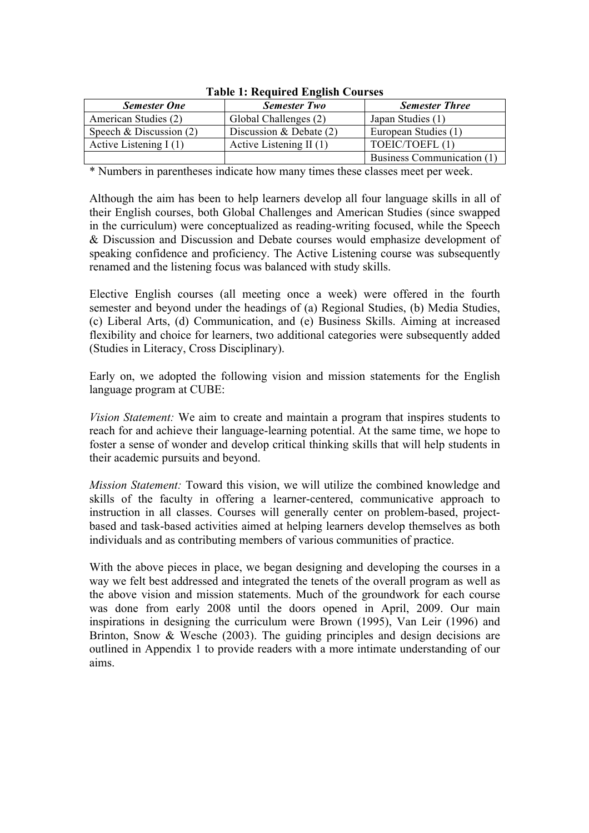| <b>Semester One</b>       | <b>Semester Two</b>       | <b>Semester Three</b>      |  |  |  |  |
|---------------------------|---------------------------|----------------------------|--|--|--|--|
| American Studies (2)      | Global Challenges (2)     | Japan Studies (1)          |  |  |  |  |
| Speech & Discussion $(2)$ | Discussion & Debate $(2)$ | European Studies (1)       |  |  |  |  |
| Active Listening $I(1)$   | Active Listening II $(1)$ | TOEIC/TOEFL(1)             |  |  |  |  |
|                           |                           | Business Communication (1) |  |  |  |  |

**Table 1: Required English Courses**

\* Numbers in parentheses indicate how many times these classes meet per week.

Although the aim has been to help learners develop all four language skills in all of their English courses, both Global Challenges and American Studies (since swapped in the curriculum) were conceptualized as reading-writing focused, while the Speech & Discussion and Discussion and Debate courses would emphasize development of speaking confidence and proficiency. The Active Listening course was subsequently renamed and the listening focus was balanced with study skills.

Elective English courses (all meeting once a week) were offered in the fourth semester and beyond under the headings of (a) Regional Studies, (b) Media Studies, (c) Liberal Arts, (d) Communication, and (e) Business Skills. Aiming at increased flexibility and choice for learners, two additional categories were subsequently added (Studies in Literacy, Cross Disciplinary).

Early on, we adopted the following vision and mission statements for the English language program at CUBE:

*Vision Statement:* We aim to create and maintain a program that inspires students to reach for and achieve their language-learning potential. At the same time, we hope to foster a sense of wonder and develop critical thinking skills that will help students in their academic pursuits and beyond.

*Mission Statement:* Toward this vision, we will utilize the combined knowledge and skills of the faculty in offering a learner-centered, communicative approach to instruction in all classes. Courses will generally center on problem-based, projectbased and task-based activities aimed at helping learners develop themselves as both individuals and as contributing members of various communities of practice.

With the above pieces in place, we began designing and developing the courses in a way we felt best addressed and integrated the tenets of the overall program as well as the above vision and mission statements. Much of the groundwork for each course was done from early 2008 until the doors opened in April, 2009. Our main inspirations in designing the curriculum were Brown (1995), Van Leir (1996) and Brinton. Snow & Wesche (2003). The guiding principles and design decisions are outlined in Appendix 1 to provide readers with a more intimate understanding of our aims.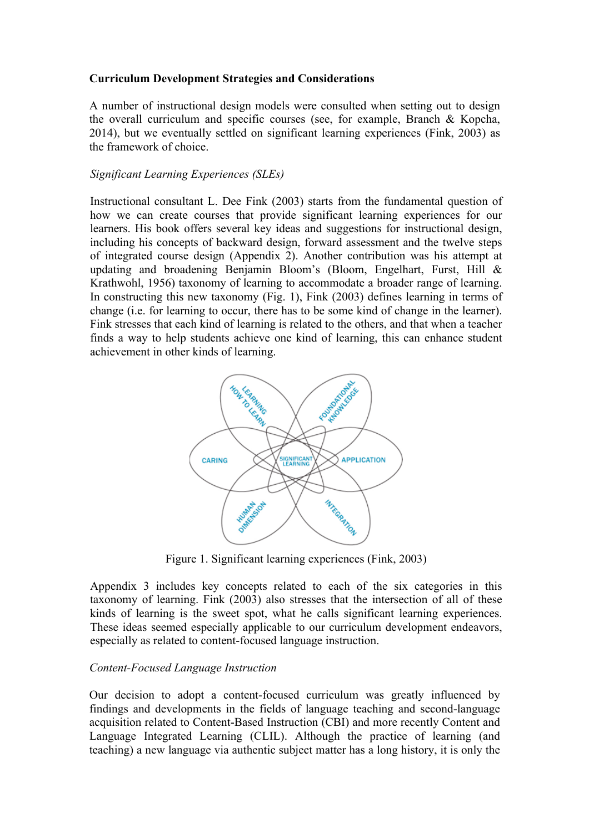## **Curriculum Development Strategies and Considerations**

A number of instructional design models were consulted when setting out to design the overall curriculum and specific courses (see, for example, Branch & Kopcha, 2014), but we eventually settled on significant learning experiences (Fink, 2003) as the framework of choice.

## *Significant Learning Experiences (SLEs)*

Instructional consultant L. Dee Fink (2003) starts from the fundamental question of how we can create courses that provide significant learning experiences for our learners. His book offers several key ideas and suggestions for instructional design, including his concepts of backward design, forward assessment and the twelve steps of integrated course design (Appendix 2). Another contribution was his attempt at updating and broadening Benjamin Bloom's (Bloom, Engelhart, Furst, Hill & Krathwohl, 1956) taxonomy of learning to accommodate a broader range of learning. In constructing this new taxonomy (Fig. 1), Fink (2003) defines learning in terms of change (i.e. for learning to occur, there has to be some kind of change in the learner). Fink stresses that each kind of learning is related to the others, and that when a teacher finds a way to help students achieve one kind of learning, this can enhance student achievement in other kinds of learning.



Figure 1. Significant learning experiences (Fink, 2003)

Appendix 3 includes key concepts related to each of the six categories in this taxonomy of learning. Fink (2003) also stresses that the intersection of all of these kinds of learning is the sweet spot, what he calls significant learning experiences. These ideas seemed especially applicable to our curriculum development endeavors, especially as related to content-focused language instruction.

# *Content-Focused Language Instruction*

Our decision to adopt a content-focused curriculum was greatly influenced by findings and developments in the fields of language teaching and second-language acquisition related to Content-Based Instruction (CBI) and more recently Content and Language Integrated Learning (CLIL). Although the practice of learning (and teaching) a new language via authentic subject matter has a long history, it is only the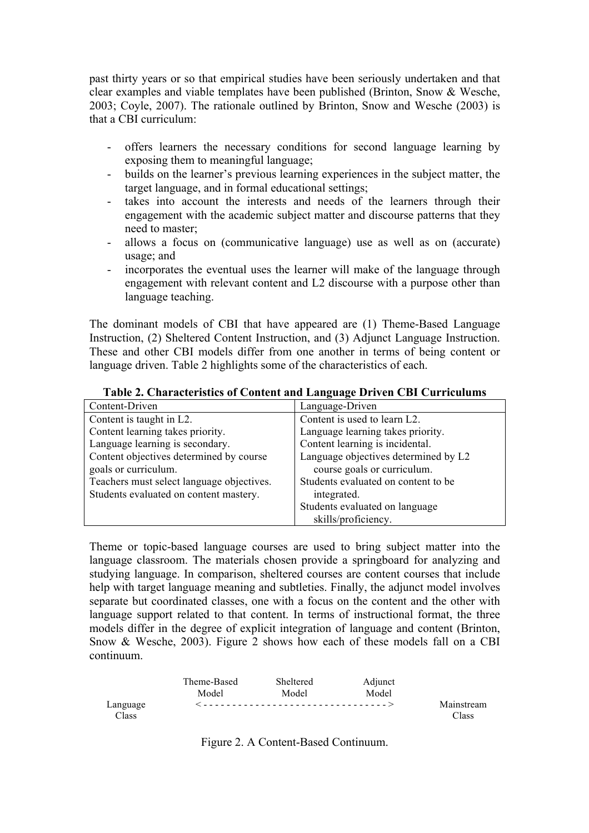past thirty years or so that empirical studies have been seriously undertaken and that clear examples and viable templates have been published (Brinton, Snow & Wesche, 2003; Coyle, 2007). The rationale outlined by Brinton, Snow and Wesche (2003) is that a CBI curriculum:

- offers learners the necessary conditions for second language learning by exposing them to meaningful language;
- builds on the learner's previous learning experiences in the subject matter, the target language, and in formal educational settings;
- takes into account the interests and needs of the learners through their engagement with the academic subject matter and discourse patterns that they need to master;
- allows a focus on (communicative language) use as well as on (accurate) usage; and
- incorporates the eventual uses the learner will make of the language through engagement with relevant content and L2 discourse with a purpose other than language teaching.

The dominant models of CBI that have appeared are (1) Theme-Based Language Instruction, (2) Sheltered Content Instruction, and (3) Adjunct Language Instruction. These and other CBI models differ from one another in terms of being content or language driven. Table 2 highlights some of the characteristics of each.

|  |  | Table 2. Characteristics of Content and Language Driven CBI Curriculums |
|--|--|-------------------------------------------------------------------------|
|  |  |                                                                         |

| Content-Driven                            | Language-Driven                      |
|-------------------------------------------|--------------------------------------|
| Content is taught in L2.                  | Content is used to learn L2.         |
| Content learning takes priority.          | Language learning takes priority.    |
| Language learning is secondary.           | Content learning is incidental.      |
| Content objectives determined by course   | Language objectives determined by L2 |
| goals or curriculum.                      | course goals or curriculum.          |
| Teachers must select language objectives. | Students evaluated on content to be  |
| Students evaluated on content mastery.    | integrated.                          |
|                                           | Students evaluated on language       |
|                                           | skills/proficiency.                  |

Theme or topic-based language courses are used to bring subject matter into the language classroom. The materials chosen provide a springboard for analyzing and studying language. In comparison, sheltered courses are content courses that include help with target language meaning and subtleties. Finally, the adjunct model involves separate but coordinated classes, one with a focus on the content and the other with language support related to that content. In terms of instructional format, the three models differ in the degree of explicit integration of language and content (Brinton, Snow & Wesche, 2003). Figure 2 shows how each of these models fall on a CBI continuum.

|                   | Theme-Based<br>Model | Sheltered<br>Model | Adjunct<br>Model |                     |
|-------------------|----------------------|--------------------|------------------|---------------------|
| Language<br>Class |                      |                    |                  | Mainstream<br>Class |

Figure 2. A Content-Based Continuum.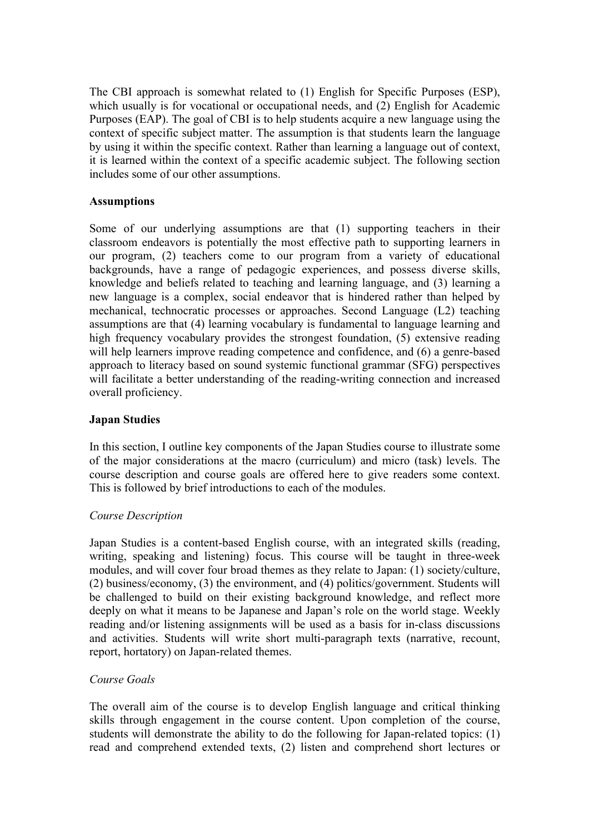The CBI approach is somewhat related to (1) English for Specific Purposes (ESP), which usually is for vocational or occupational needs, and (2) English for Academic Purposes (EAP). The goal of CBI is to help students acquire a new language using the context of specific subject matter. The assumption is that students learn the language by using it within the specific context. Rather than learning a language out of context, it is learned within the context of a specific academic subject. The following section includes some of our other assumptions.

# **Assumptions**

Some of our underlying assumptions are that (1) supporting teachers in their classroom endeavors is potentially the most effective path to supporting learners in our program, (2) teachers come to our program from a variety of educational backgrounds, have a range of pedagogic experiences, and possess diverse skills, knowledge and beliefs related to teaching and learning language, and (3) learning a new language is a complex, social endeavor that is hindered rather than helped by mechanical, technocratic processes or approaches. Second Language (L2) teaching assumptions are that (4) learning vocabulary is fundamental to language learning and high frequency vocabulary provides the strongest foundation, (5) extensive reading will help learners improve reading competence and confidence, and (6) a genre-based approach to literacy based on sound systemic functional grammar (SFG) perspectives will facilitate a better understanding of the reading-writing connection and increased overall proficiency.

## **Japan Studies**

In this section, I outline key components of the Japan Studies course to illustrate some of the major considerations at the macro (curriculum) and micro (task) levels. The course description and course goals are offered here to give readers some context. This is followed by brief introductions to each of the modules.

# *Course Description*

Japan Studies is a content-based English course, with an integrated skills (reading, writing, speaking and listening) focus. This course will be taught in three-week modules, and will cover four broad themes as they relate to Japan: (1) society/culture, (2) business/economy, (3) the environment, and (4) politics/government. Students will be challenged to build on their existing background knowledge, and reflect more deeply on what it means to be Japanese and Japan's role on the world stage. Weekly reading and/or listening assignments will be used as a basis for in-class discussions and activities. Students will write short multi-paragraph texts (narrative, recount, report, hortatory) on Japan-related themes.

# *Course Goals*

The overall aim of the course is to develop English language and critical thinking skills through engagement in the course content. Upon completion of the course, students will demonstrate the ability to do the following for Japan-related topics: (1) read and comprehend extended texts, (2) listen and comprehend short lectures or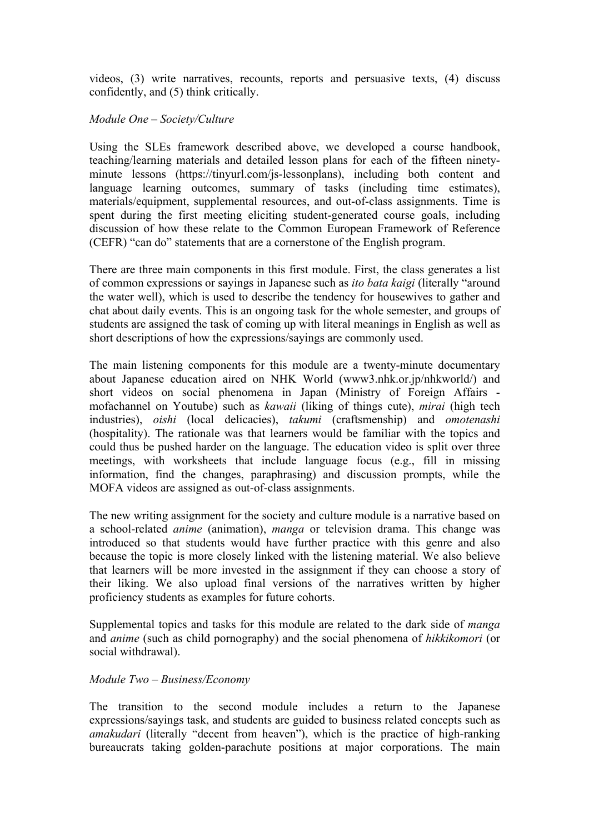videos, (3) write narratives, recounts, reports and persuasive texts, (4) discuss confidently, and (5) think critically.

## *Module One – Society/Culture*

Using the SLEs framework described above, we developed a course handbook, teaching/learning materials and detailed lesson plans for each of the fifteen ninetyminute lessons (https://tinyurl.com/js-lessonplans), including both content and language learning outcomes, summary of tasks (including time estimates), materials/equipment, supplemental resources, and out-of-class assignments. Time is spent during the first meeting eliciting student-generated course goals, including discussion of how these relate to the Common European Framework of Reference (CEFR) "can do" statements that are a cornerstone of the English program.

There are three main components in this first module. First, the class generates a list of common expressions or sayings in Japanese such as *ito bata kaigi* (literally "around the water well), which is used to describe the tendency for housewives to gather and chat about daily events. This is an ongoing task for the whole semester, and groups of students are assigned the task of coming up with literal meanings in English as well as short descriptions of how the expressions/sayings are commonly used.

The main listening components for this module are a twenty-minute documentary about Japanese education aired on NHK World (www3.nhk.or.jp/nhkworld/) and short videos on social phenomena in Japan (Ministry of Foreign Affairs mofachannel on Youtube) such as *kawaii* (liking of things cute), *mirai* (high tech industries), *oishi* (local delicacies), *takumi* (craftsmenship) and *omotenashi* (hospitality). The rationale was that learners would be familiar with the topics and could thus be pushed harder on the language. The education video is split over three meetings, with worksheets that include language focus (e.g., fill in missing information, find the changes, paraphrasing) and discussion prompts, while the MOFA videos are assigned as out-of-class assignments.

The new writing assignment for the society and culture module is a narrative based on a school-related *anime* (animation), *manga* or television drama. This change was introduced so that students would have further practice with this genre and also because the topic is more closely linked with the listening material. We also believe that learners will be more invested in the assignment if they can choose a story of their liking. We also upload final versions of the narratives written by higher proficiency students as examples for future cohorts.

Supplemental topics and tasks for this module are related to the dark side of *manga* and *anime* (such as child pornography) and the social phenomena of *hikkikomori* (or social withdrawal).

## *Module Two – Business/Economy*

The transition to the second module includes a return to the Japanese expressions/sayings task, and students are guided to business related concepts such as *amakudari* (literally "decent from heaven"), which is the practice of high-ranking bureaucrats taking golden-parachute positions at major corporations. The main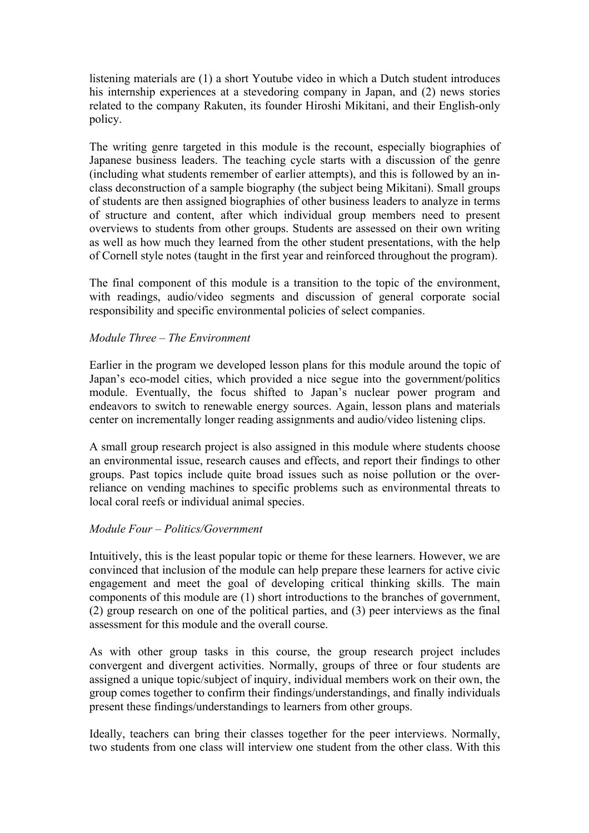listening materials are (1) a short Youtube video in which a Dutch student introduces his internship experiences at a stevedoring company in Japan, and (2) news stories related to the company Rakuten, its founder Hiroshi Mikitani, and their English-only policy.

The writing genre targeted in this module is the recount, especially biographies of Japanese business leaders. The teaching cycle starts with a discussion of the genre (including what students remember of earlier attempts), and this is followed by an inclass deconstruction of a sample biography (the subject being Mikitani). Small groups of students are then assigned biographies of other business leaders to analyze in terms of structure and content, after which individual group members need to present overviews to students from other groups. Students are assessed on their own writing as well as how much they learned from the other student presentations, with the help of Cornell style notes (taught in the first year and reinforced throughout the program).

The final component of this module is a transition to the topic of the environment, with readings, audio/video segments and discussion of general corporate social responsibility and specific environmental policies of select companies.

## *Module Three – The Environment*

Earlier in the program we developed lesson plans for this module around the topic of Japan's eco-model cities, which provided a nice segue into the government/politics module. Eventually, the focus shifted to Japan's nuclear power program and endeavors to switch to renewable energy sources. Again, lesson plans and materials center on incrementally longer reading assignments and audio/video listening clips.

A small group research project is also assigned in this module where students choose an environmental issue, research causes and effects, and report their findings to other groups. Past topics include quite broad issues such as noise pollution or the overreliance on vending machines to specific problems such as environmental threats to local coral reefs or individual animal species.

#### *Module Four – Politics/Government*

Intuitively, this is the least popular topic or theme for these learners. However, we are convinced that inclusion of the module can help prepare these learners for active civic engagement and meet the goal of developing critical thinking skills. The main components of this module are (1) short introductions to the branches of government, (2) group research on one of the political parties, and (3) peer interviews as the final assessment for this module and the overall course.

As with other group tasks in this course, the group research project includes convergent and divergent activities. Normally, groups of three or four students are assigned a unique topic/subject of inquiry, individual members work on their own, the group comes together to confirm their findings/understandings, and finally individuals present these findings/understandings to learners from other groups.

Ideally, teachers can bring their classes together for the peer interviews. Normally, two students from one class will interview one student from the other class. With this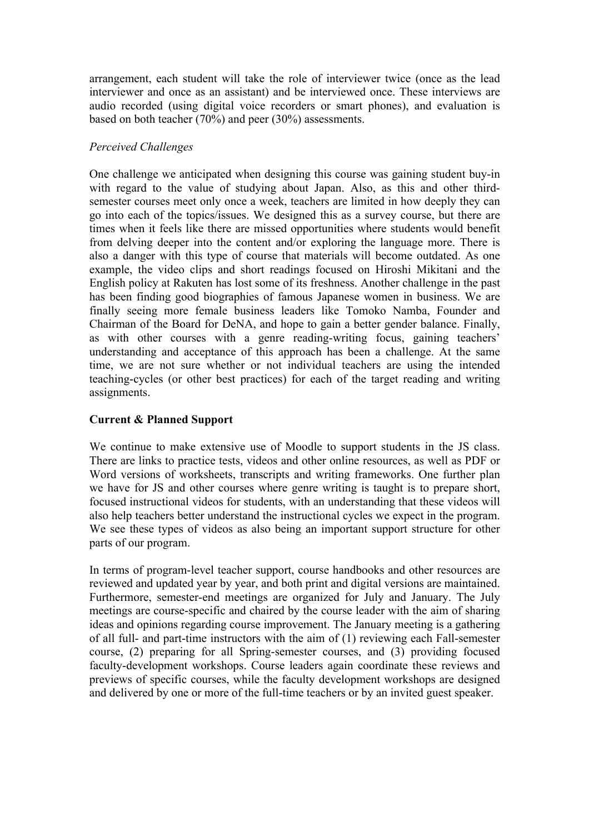arrangement, each student will take the role of interviewer twice (once as the lead interviewer and once as an assistant) and be interviewed once. These interviews are audio recorded (using digital voice recorders or smart phones), and evaluation is based on both teacher (70%) and peer (30%) assessments.

## *Perceived Challenges*

One challenge we anticipated when designing this course was gaining student buy-in with regard to the value of studying about Japan. Also, as this and other thirdsemester courses meet only once a week, teachers are limited in how deeply they can go into each of the topics/issues. We designed this as a survey course, but there are times when it feels like there are missed opportunities where students would benefit from delving deeper into the content and/or exploring the language more. There is also a danger with this type of course that materials will become outdated. As one example, the video clips and short readings focused on Hiroshi Mikitani and the English policy at Rakuten has lost some of its freshness. Another challenge in the past has been finding good biographies of famous Japanese women in business. We are finally seeing more female business leaders like Tomoko Namba, Founder and Chairman of the Board for DeNA, and hope to gain a better gender balance. Finally, as with other courses with a genre reading-writing focus, gaining teachers' understanding and acceptance of this approach has been a challenge. At the same time, we are not sure whether or not individual teachers are using the intended teaching-cycles (or other best practices) for each of the target reading and writing assignments.

## **Current & Planned Support**

We continue to make extensive use of Moodle to support students in the JS class. There are links to practice tests, videos and other online resources, as well as PDF or Word versions of worksheets, transcripts and writing frameworks. One further plan we have for JS and other courses where genre writing is taught is to prepare short, focused instructional videos for students, with an understanding that these videos will also help teachers better understand the instructional cycles we expect in the program. We see these types of videos as also being an important support structure for other parts of our program.

In terms of program-level teacher support, course handbooks and other resources are reviewed and updated year by year, and both print and digital versions are maintained. Furthermore, semester-end meetings are organized for July and January. The July meetings are course-specific and chaired by the course leader with the aim of sharing ideas and opinions regarding course improvement. The January meeting is a gathering of all full- and part-time instructors with the aim of (1) reviewing each Fall-semester course, (2) preparing for all Spring-semester courses, and (3) providing focused faculty-development workshops. Course leaders again coordinate these reviews and previews of specific courses, while the faculty development workshops are designed and delivered by one or more of the full-time teachers or by an invited guest speaker.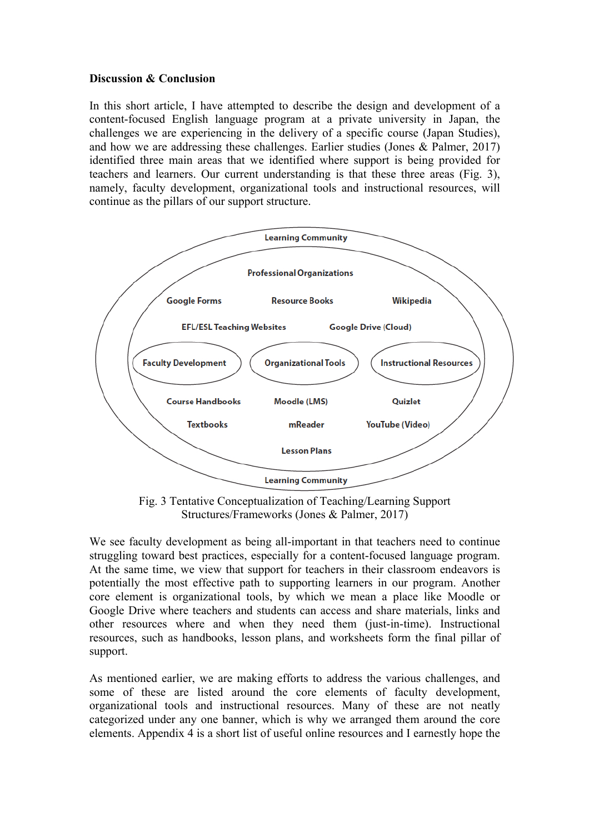## **Discussion & Conclusion**

In this short article, I have attempted to describe the design and development of a content-focused English language program at a private university in Japan, the challenges we are experiencing in the delivery of a specific course (Japan Studies), and how we are addressing these challenges. Earlier studies (Jones & Palmer, 2017) identified three main areas that we identified where support is being provided for teachers and learners. Our current understanding is that these three areas (Fig. 3), namely, faculty development, organizational tools and instructional resources, will continue as the pillars of our support structure.



Fig. 3 Tentative Conceptualization of Teaching/Learning Support Structures/Frameworks (Jones & Palmer, 2017)

We see faculty development as being all-important in that teachers need to continue struggling toward best practices, especially for a content-focused language program. At the same time, we view that support for teachers in their classroom endeavors is potentially the most effective path to supporting learners in our program. Another core element is organizational tools, by which we mean a place like Moodle or Google Drive where teachers and students can access and share materials, links and other resources where and when they need them (just-in-time). Instructional resources, such as handbooks, lesson plans, and worksheets form the final pillar of support.

As mentioned earlier, we are making efforts to address the various challenges, and some of these are listed around the core elements of faculty development, organizational tools and instructional resources. Many of these are not neatly categorized under any one banner, which is why we arranged them around the core elements. Appendix 4 is a short list of useful online resources and I earnestly hope the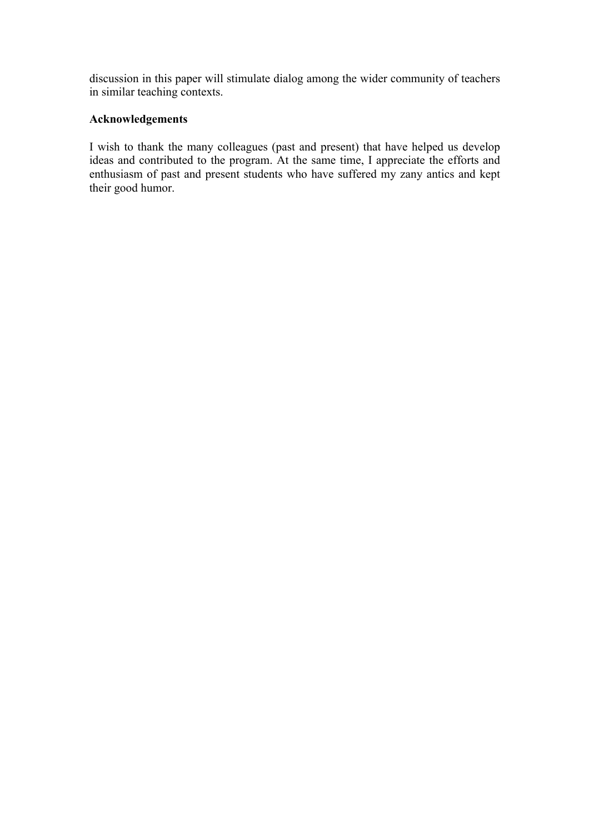discussion in this paper will stimulate dialog among the wider community of teachers in similar teaching contexts.

# **Acknowledgements**

I wish to thank the many colleagues (past and present) that have helped us develop ideas and contributed to the program. At the same time, I appreciate the efforts and enthusiasm of past and present students who have suffered my zany antics and kept their good humor.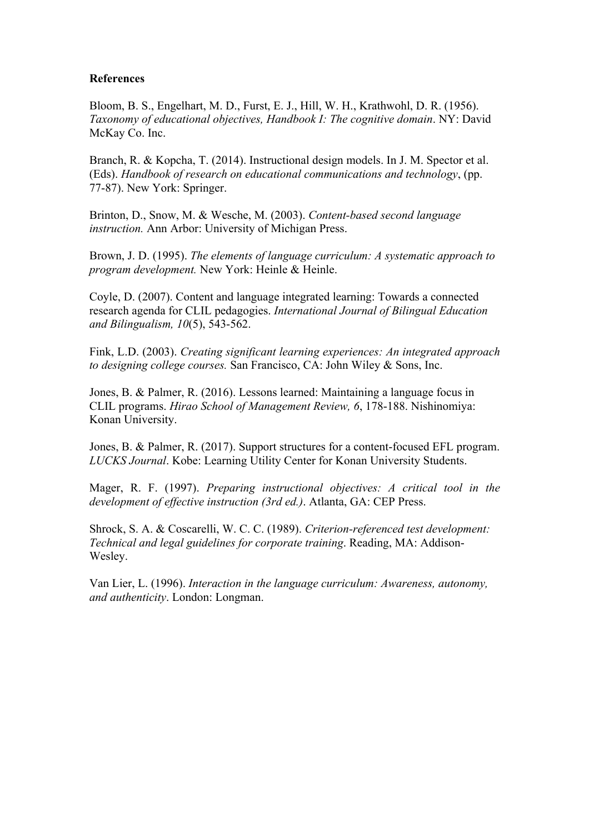## **References**

Bloom, B. S., Engelhart, M. D., Furst, E. J., Hill, W. H., Krathwohl, D. R. (1956). *Taxonomy of educational objectives, Handbook I: The cognitive domain*. NY: David McKay Co. Inc.

Branch, R. & Kopcha, T. (2014). Instructional design models. In J. M. Spector et al. (Eds). *Handbook of research on educational communications and technology*, (pp. 77-87). New York: Springer.

Brinton, D., Snow, M. & Wesche, M. (2003). *Content-based second language instruction.* Ann Arbor: University of Michigan Press.

Brown, J. D. (1995). *The elements of language curriculum: A systematic approach to program development.* New York: Heinle & Heinle.

Coyle, D. (2007). Content and language integrated learning: Towards a connected research agenda for CLIL pedagogies. *International Journal of Bilingual Education and Bilingualism, 10*(5), 543-562.

Fink, L.D. (2003). *Creating significant learning experiences: An integrated approach to designing college courses.* San Francisco, CA: John Wiley & Sons, Inc.

Jones, B. & Palmer, R. (2016). Lessons learned: Maintaining a language focus in CLIL programs. *Hirao School of Management Review, 6*, 178-188. Nishinomiya: Konan University.

Jones, B. & Palmer, R. (2017). Support structures for a content-focused EFL program. *LUCKS Journal*. Kobe: Learning Utility Center for Konan University Students.

Mager, R. F. (1997). *Preparing instructional objectives: A critical tool in the development of effective instruction (3rd ed.)*. Atlanta, GA: CEP Press.

Shrock, S. A. & Coscarelli, W. C. C. (1989). *Criterion-referenced test development: Technical and legal guidelines for corporate training*. Reading, MA: Addison-Wesley.

Van Lier, L. (1996). *Interaction in the language curriculum: Awareness, autonomy, and authenticity*. London: Longman.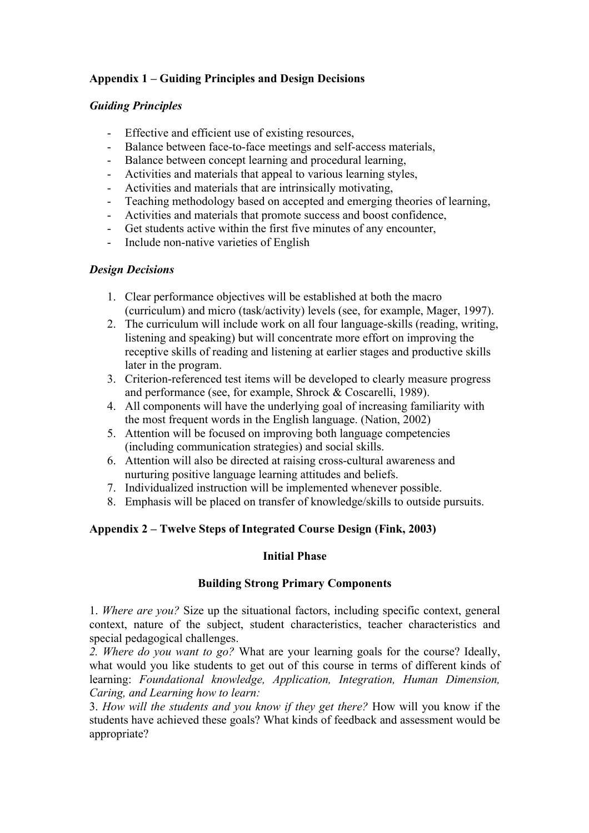# **Appendix 1 – Guiding Principles and Design Decisions**

## *Guiding Principles*

- Effective and efficient use of existing resources,
- Balance between face-to-face meetings and self-access materials,
- Balance between concept learning and procedural learning,
- Activities and materials that appeal to various learning styles,
- Activities and materials that are intrinsically motivating,
- Teaching methodology based on accepted and emerging theories of learning,
- Activities and materials that promote success and boost confidence,
- Get students active within the first five minutes of any encounter,
- Include non-native varieties of English

## *Design Decisions*

- 1. Clear performance objectives will be established at both the macro (curriculum) and micro (task/activity) levels (see, for example, Mager, 1997).
- 2. The curriculum will include work on all four language-skills (reading, writing, listening and speaking) but will concentrate more effort on improving the receptive skills of reading and listening at earlier stages and productive skills later in the program.
- 3. Criterion-referenced test items will be developed to clearly measure progress and performance (see, for example, Shrock & Coscarelli, 1989).
- 4. All components will have the underlying goal of increasing familiarity with the most frequent words in the English language. (Nation, 2002)
- 5. Attention will be focused on improving both language competencies (including communication strategies) and social skills.
- 6. Attention will also be directed at raising cross-cultural awareness and nurturing positive language learning attitudes and beliefs.
- 7. Individualized instruction will be implemented whenever possible.
- 8. Emphasis will be placed on transfer of knowledge/skills to outside pursuits.

# **Appendix 2 – Twelve Steps of Integrated Course Design (Fink, 2003)**

# **Initial Phase**

# **Building Strong Primary Components**

1. *Where are you?* Size up the situational factors, including specific context, general context, nature of the subject, student characteristics, teacher characteristics and special pedagogical challenges.

*2. Where do you want to go?* What are your learning goals for the course? Ideally, what would you like students to get out of this course in terms of different kinds of learning: *Foundational knowledge, Application, Integration, Human Dimension, Caring, and Learning how to learn:*

3. *How will the students and you know if they get there?* How will you know if the students have achieved these goals? What kinds of feedback and assessment would be appropriate?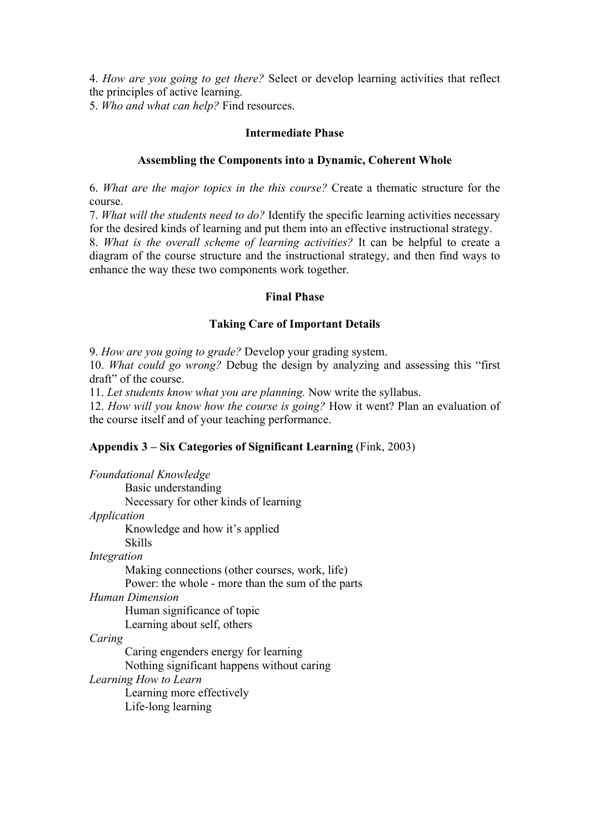4. *How are you going to get there?* Select or develop learning activities that reflect the principles of active learning.

5. *Who and what can help?* Find resources.

#### **Intermediate Phase**

## **Assembling the Components into a Dynamic, Coherent Whole**

6. *What are the major topics in the this course?* Create a thematic structure for the course.

7. *What will the students need to do?* Identify the specific learning activities necessary for the desired kinds of learning and put them into an effective instructional strategy.

8. *What is the overall scheme of learning activities?* It can be helpful to create a diagram of the course structure and the instructional strategy, and then find ways to enhance the way these two components work together.

## **Final Phase**

#### **Taking Care of Important Details**

9. *How are you going to grade?* Develop your grading system.

10. *What could go wrong?* Debug the design by analyzing and assessing this "first draft" of the course.

11. *Let students know what you are planning.* Now write the syllabus.

12. *How will you know how the course is going?* How it went? Plan an evaluation of the course itself and of your teaching performance.

## **Appendix 3 – Six Categories of Significant Learning** (Fink, 2003)

*Foundational Knowledge* Basic understanding Necessary for other kinds of learning *Application* Knowledge and how it's applied Skills *Integration* Making connections (other courses, work, life) Power: the whole - more than the sum of the parts *Human Dimension* Human significance of topic Learning about self, others *Caring* Caring engenders energy for learning Nothing significant happens without caring *Learning How to Learn* Learning more effectively Life-long learning